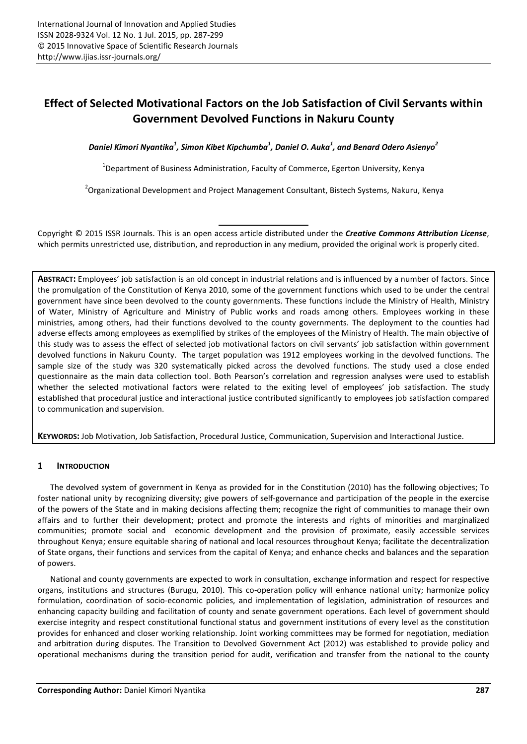# Effect of Selected Motivational Factors on the Job Satisfaction of Civil Servants within Government Devolved Functions in Nakuru County

*Daniel Kimori Nyantika<sup>1</sup> , Simon Kibet Kipchumba<sup>1</sup> , Daniel O. Auka<sup>1</sup> , and Benard Odero Asienyo<sup>2</sup>*

<sup>1</sup>Department of Business Administration, Faculty of Commerce, Egerton University, Kenya

<sup>2</sup>Organizational Development and Project Management Consultant, Bistech Systems, Nakuru, Kenya

Copyright © 2015 ISSR Journals. This is an open access article distributed under the *Creative Commons Attribution License*, which permits unrestricted use, distribution, and reproduction in any medium, provided the original work is properly cited.

ABSTRACT: Employees' job satisfaction is an old concept in industrial relations and is influenced by a number of factors. Since the promulgation of the Constitution of Kenya 2010, some of the government functions which used to be under the central government have since been devolved to the county governments. These functions include the Ministry of Health, Ministry of Water, Ministry of Agriculture and Ministry of Public works and roads among others. Employees working in these ministries, among others, had their functions devolved to the county governments. The deployment to the counties had adverse effects among employees as exemplified by strikes of the employees of the Ministry of Health. The main objective of this study was to assess the effect of selected job motivational factors on civil servants' job satisfaction within government devolved functions in Nakuru County. The target population was 1912 employees working in the devolved functions. The sample size of the study was 320 systematically picked across the devolved functions. The study used a close ended questionnaire as the main data collection tool. Both Pearson's correlation and regression analyses were used to establish whether the selected motivational factors were related to the exiting level of employees' job satisfaction. The study established that procedural justice and interactional justice contributed significantly to employees job satisfaction compared to communication and supervision.

KEYWORDS: Job Motivation, Job Satisfaction, Procedural Justice, Communication, Supervision and Interactional Justice.

## 1 INTRODUCTION

The devolved system of government in Kenya as provided for in the Constitution (2010) has the following objectives; To foster national unity by recognizing diversity; give powers of self-governance and participation of the people in the exercise of the powers of the State and in making decisions affecting them; recognize the right of communities to manage their own affairs and to further their development; protect and promote the interests and rights of minorities and marginalized communities; promote social and economic development and the provision of proximate, easily accessible services throughout Kenya; ensure equitable sharing of national and local resources throughout Kenya; facilitate the decentralization of State organs, their functions and services from the capital of Kenya; and enhance checks and balances and the separation of powers.

National and county governments are expected to work in consultation, exchange information and respect for respective organs, institutions and structures (Burugu, 2010). This co-operation policy will enhance national unity; harmonize policy formulation, coordination of socio-economic policies, and implementation of legislation, administration of resources and enhancing capacity building and facilitation of county and senate government operations. Each level of government should exercise integrity and respect constitutional functional status and government institutions of every level as the constitution provides for enhanced and closer working relationship. Joint working committees may be formed for negotiation, mediation and arbitration during disputes. The Transition to Devolved Government Act (2012) was established to provide policy and operational mechanisms during the transition period for audit, verification and transfer from the national to the county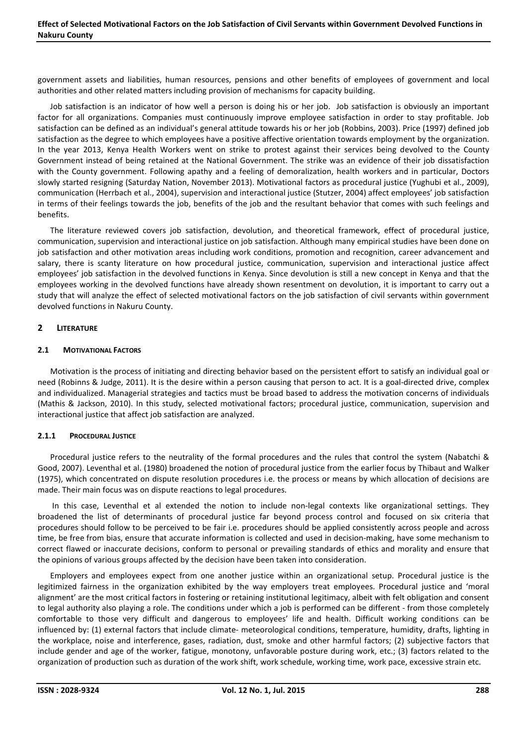government assets and liabilities, human resources, pensions and other benefits of employees of government and local authorities and other related matters including provision of mechanisms for capacity building.

Job satisfaction is an indicator of how well a person is doing his or her job. Job satisfaction is obviously an important factor for all organizations. Companies must continuously improve employee satisfaction in order to stay profitable. Job satisfaction can be defined as an individual's general attitude towards his or her job (Robbins, 2003). Price (1997) defined job satisfaction as the degree to which employees have a positive affective orientation towards employment by the organization. In the year 2013, Kenya Health Workers went on strike to protest against their services being devolved to the County Government instead of being retained at the National Government. The strike was an evidence of their job dissatisfaction with the County government. Following apathy and a feeling of demoralization, health workers and in particular, Doctors slowly started resigning (Saturday Nation, November 2013). Motivational factors as procedural justice (Yughubi et al., 2009), communication (Herrbach et al., 2004), supervision and interactional justice (Stutzer, 2004) affect employees' job satisfaction in terms of their feelings towards the job, benefits of the job and the resultant behavior that comes with such feelings and benefits.

The literature reviewed covers job satisfaction, devolution, and theoretical framework, effect of procedural justice, communication, supervision and interactional justice on job satisfaction. Although many empirical studies have been done on job satisfaction and other motivation areas including work conditions, promotion and recognition, career advancement and salary, there is scanty literature on how procedural justice, communication, supervision and interactional justice affect employees' job satisfaction in the devolved functions in Kenya. Since devolution is still a new concept in Kenya and that the employees working in the devolved functions have already shown resentment on devolution, it is important to carry out a study that will analyze the effect of selected motivational factors on the job satisfaction of civil servants within government devolved functions in Nakuru County.

### 2 LITERATURE

#### 2.1 MOTIVATIONAL FACTORS

Motivation is the process of initiating and directing behavior based on the persistent effort to satisfy an individual goal or need (Robinns & Judge, 2011). It is the desire within a person causing that person to act. It is a goal-directed drive, complex and individualized. Managerial strategies and tactics must be broad based to address the motivation concerns of individuals (Mathis & Jackson, 2010). In this study, selected motivational factors; procedural justice, communication, supervision and interactional justice that affect job satisfaction are analyzed.

## 2.1.1 PROCEDURAL JUSTICE

Procedural justice refers to the neutrality of the formal procedures and the rules that control the system (Nabatchi & Good, 2007). Leventhal et al. (1980) broadened the notion of procedural justice from the earlier focus by Thibaut and Walker (1975), which concentrated on dispute resolution procedures i.e. the process or means by which allocation of decisions are made. Their main focus was on dispute reactions to legal procedures.

In this case, Leventhal et al extended the notion to include non-legal contexts like organizational settings. They broadened the list of determinants of procedural justice far beyond process control and focused on six criteria that procedures should follow to be perceived to be fair i.e. procedures should be applied consistently across people and across time, be free from bias, ensure that accurate information is collected and used in decision-making, have some mechanism to correct flawed or inaccurate decisions, conform to personal or prevailing standards of ethics and morality and ensure that the opinions of various groups affected by the decision have been taken into consideration.

Employers and employees expect from one another justice within an organizational setup. Procedural justice is the legitimized fairness in the organization exhibited by the way employers treat employees. Procedural justice and 'moral alignment' are the most critical factors in fostering or retaining institutional legitimacy, albeit with felt obligation and consent to legal authority also playing a role. The conditions under which a job is performed can be different - from those completely comfortable to those very difficult and dangerous to employees' life and health. Difficult working conditions can be influenced by: (1) external factors that include climate- meteorological conditions, temperature, humidity, drafts, lighting in the workplace, noise and interference, gases, radiation, dust, smoke and other harmful factors; (2) subjective factors that include gender and age of the worker, fatigue, monotony, unfavorable posture during work, etc.; (3) factors related to the organization of production such as duration of the work shift, work schedule, working time, work pace, excessive strain etc.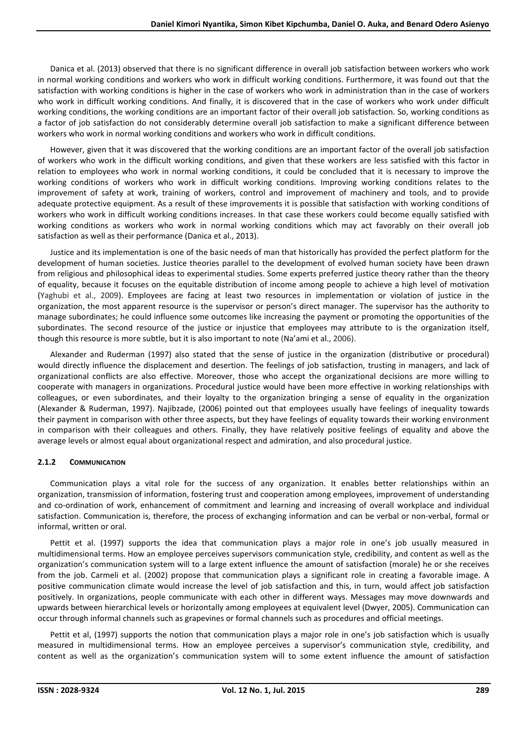Danica et al. (2013) observed that there is no significant difference in overall job satisfaction between workers who work in normal working conditions and workers who work in difficult working conditions. Furthermore, it was found out that the satisfaction with working conditions is higher in the case of workers who work in administration than in the case of workers who work in difficult working conditions. And finally, it is discovered that in the case of workers who work under difficult working conditions, the working conditions are an important factor of their overall job satisfaction. So, working conditions as a factor of job satisfaction do not considerably determine overall job satisfaction to make a significant difference between workers who work in normal working conditions and workers who work in difficult conditions.

However, given that it was discovered that the working conditions are an important factor of the overall job satisfaction of workers who work in the difficult working conditions, and given that these workers are less satisfied with this factor in relation to employees who work in normal working conditions, it could be concluded that it is necessary to improve the working conditions of workers who work in difficult working conditions. Improving working conditions relates to the improvement of safety at work, training of workers, control and improvement of machinery and tools, and to provide adequate protective equipment. As a result of these improvements it is possible that satisfaction with working conditions of workers who work in difficult working conditions increases. In that case these workers could become equally satisfied with working conditions as workers who work in normal working conditions which may act favorably on their overall job satisfaction as well as their performance (Danica et al., 2013).

Justice and its implementation is one of the basic needs of man that historically has provided the perfect platform for the development of human societies. Justice theories parallel to the development of evolved human society have been drawn from religious and philosophical ideas to experimental studies. Some experts preferred justice theory rather than the theory of equality, because it focuses on the equitable distribution of income among people to achieve a high level of motivation (Yaghubi et al., 2009). Employees are facing at least two resources in implementation or violation of justice in the organization, the most apparent resource is the supervisor or person's direct manager. The supervisor has the authority to manage subordinates; he could influence some outcomes like increasing the payment or promoting the opportunities of the subordinates. The second resource of the justice or injustice that employees may attribute to is the organization itself, though this resource is more subtle, but it is also important to note (Na'ami et al., 2006).

Alexander and Ruderman (1997) also stated that the sense of justice in the organization (distributive or procedural) would directly influence the displacement and desertion. The feelings of job satisfaction, trusting in managers, and lack of organizational conflicts are also effective. Moreover, those who accept the organizational decisions are more willing to cooperate with managers in organizations. Procedural justice would have been more effective in working relationships with colleagues, or even subordinates, and their loyalty to the organization bringing a sense of equality in the organization (Alexander & Ruderman, 1997). Najibzade, (2006) pointed out that employees usually have feelings of inequality towards their payment in comparison with other three aspects, but they have feelings of equality towards their working environment in comparison with their colleagues and others. Finally, they have relatively positive feelings of equality and above the average levels or almost equal about organizational respect and admiration, and also procedural justice.

## 2.1.2 COMMUNICATION

Communication plays a vital role for the success of any organization. It enables better relationships within an organization, transmission of information, fostering trust and cooperation among employees, improvement of understanding and co-ordination of work, enhancement of commitment and learning and increasing of overall workplace and individual satisfaction. Communication is, therefore, the process of exchanging information and can be verbal or non-verbal, formal or informal, written or oral.

Pettit et al. (1997) supports the idea that communication plays a major role in one's job usually measured in multidimensional terms. How an employee perceives supervisors communication style, credibility, and content as well as the organization's communication system will to a large extent influence the amount of satisfaction (morale) he or she receives from the job. Carmeli et al. (2002) propose that communication plays a significant role in creating a favorable image. A positive communication climate would increase the level of job satisfaction and this, in turn, would affect job satisfaction positively. In organizations, people communicate with each other in different ways. Messages may move downwards and upwards between hierarchical levels or horizontally among employees at equivalent level (Dwyer, 2005). Communication can occur through informal channels such as grapevines or formal channels such as procedures and official meetings.

Pettit et al, (1997) supports the notion that communication plays a major role in one's job satisfaction which is usually measured in multidimensional terms. How an employee perceives a supervisor's communication style, credibility, and content as well as the organization's communication system will to some extent influence the amount of satisfaction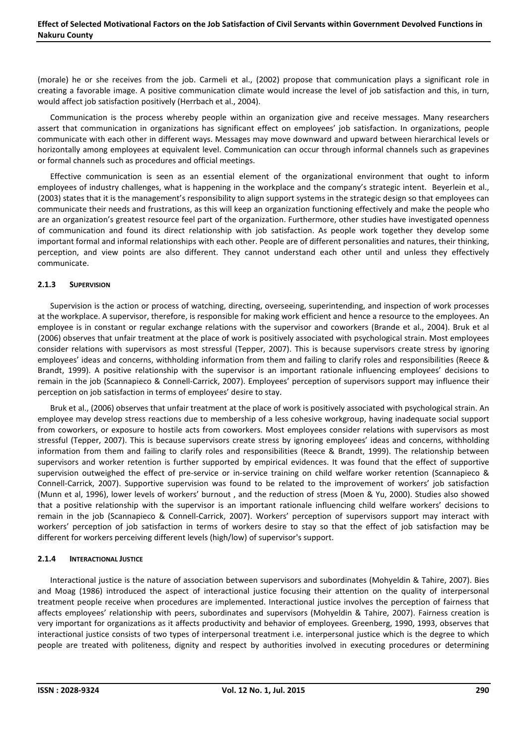(morale) he or she receives from the job. Carmeli et al., (2002) propose that communication plays a significant role in creating a favorable image. A positive communication climate would increase the level of job satisfaction and this, in turn, would affect job satisfaction positively (Herrbach et al., 2004).

Communication is the process whereby people within an organization give and receive messages. Many researchers assert that communication in organizations has significant effect on employees' job satisfaction. In organizations, people communicate with each other in different ways. Messages may move downward and upward between hierarchical levels or horizontally among employees at equivalent level. Communication can occur through informal channels such as grapevines or formal channels such as procedures and official meetings.

Effective communication is seen as an essential element of the organizational environment that ought to inform employees of industry challenges, what is happening in the workplace and the company's strategic intent. Beyerlein et al., (2003) states that it is the management's responsibility to align support systems in the strategic design so that employees can communicate their needs and frustrations, as this will keep an organization functioning effectively and make the people who are an organization's greatest resource feel part of the organization. Furthermore, other studies have investigated openness of communication and found its direct relationship with job satisfaction. As people work together they develop some important formal and informal relationships with each other. People are of different personalities and natures, their thinking, perception, and view points are also different. They cannot understand each other until and unless they effectively communicate.

### 2.1.3 SUPERVISION

Supervision is the action or process of watching, directing, overseeing, superintending, and inspection of work processes at the workplace. A supervisor, therefore, is responsible for making work efficient and hence a resource to the employees. An employee is in constant or regular exchange relations with the supervisor and coworkers (Brande et al., 2004). Bruk et al (2006) observes that unfair treatment at the place of work is positively associated with psychological strain. Most employees consider relations with supervisors as most stressful (Tepper, 2007). This is because supervisors create stress by ignoring employees' ideas and concerns, withholding information from them and failing to clarify roles and responsibilities (Reece & Brandt, 1999). A positive relationship with the supervisor is an important rationale influencing employees' decisions to remain in the job (Scannapieco & Connell-Carrick, 2007). Employees' perception of supervisors support may influence their perception on job satisfaction in terms of employees' desire to stay.

Bruk et al., (2006) observes that unfair treatment at the place of work is positively associated with psychological strain. An employee may develop stress reactions due to membership of a less cohesive workgroup, having inadequate social support from coworkers, or exposure to hostile acts from coworkers. Most employees consider relations with supervisors as most stressful (Tepper, 2007). This is because supervisors create stress by ignoring employees' ideas and concerns, withholding information from them and failing to clarify roles and responsibilities (Reece & Brandt, 1999). The relationship between supervisors and worker retention is further supported by empirical evidences. It was found that the effect of supportive supervision outweighed the effect of pre-service or in-service training on child welfare worker retention (Scannapieco & Connell-Carrick, 2007). Supportive supervision was found to be related to the improvement of workers' job satisfaction (Munn et al, 1996), lower levels of workers' burnout , and the reduction of stress (Moen & Yu, 2000). Studies also showed that a positive relationship with the supervisor is an important rationale influencing child welfare workers' decisions to remain in the job (Scannapieco & Connell-Carrick, 2007). Workers' perception of supervisors support may interact with workers' perception of job satisfaction in terms of workers desire to stay so that the effect of job satisfaction may be different for workers perceiving different levels (high/low) of supervisor's support.

#### 2.1.4 INTERACTIONAL JUSTICE

Interactional justice is the nature of association between supervisors and subordinates (Mohyeldin & Tahire, 2007). Bies and Moag (1986) introduced the aspect of interactional justice focusing their attention on the quality of interpersonal treatment people receive when procedures are implemented. Interactional justice involves the perception of fairness that affects employees' relationship with peers, subordinates and supervisors (Mohyeldin & Tahire, 2007). Fairness creation is very important for organizations as it affects productivity and behavior of employees. Greenberg, 1990, 1993, observes that interactional justice consists of two types of interpersonal treatment i.e. interpersonal justice which is the degree to which people are treated with politeness, dignity and respect by authorities involved in executing procedures or determining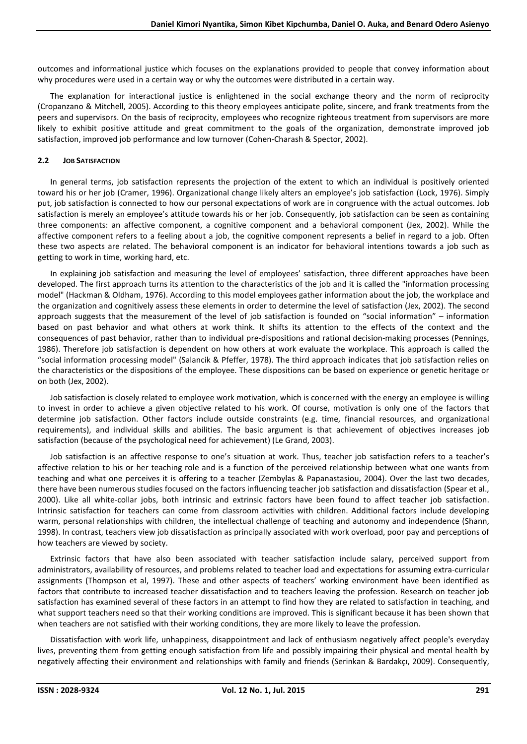outcomes and informational justice which focuses on the explanations provided to people that convey information about why procedures were used in a certain way or why the outcomes were distributed in a certain way.

The explanation for interactional justice is enlightened in the social exchange theory and the norm of reciprocity (Cropanzano & Mitchell, 2005). According to this theory employees anticipate polite, sincere, and frank treatments from the peers and supervisors. On the basis of reciprocity, employees who recognize righteous treatment from supervisors are more likely to exhibit positive attitude and great commitment to the goals of the organization, demonstrate improved job satisfaction, improved job performance and low turnover (Cohen-Charash & Spector, 2002).

## 2.2 JOB SATISFACTION

In general terms, job satisfaction represents the projection of the extent to which an individual is positively oriented toward his or her job (Cramer, 1996). Organizational change likely alters an employee's job satisfaction (Lock, 1976). Simply put, job satisfaction is connected to how our personal expectations of work are in congruence with the actual outcomes. Job satisfaction is merely an employee's attitude towards his or her job. Consequently, job satisfaction can be seen as containing three components: an affective component, a cognitive component and a behavioral component (Jex, 2002). While the affective component refers to a feeling about a job, the cognitive component represents a belief in regard to a job. Often these two aspects are related. The behavioral component is an indicator for behavioral intentions towards a job such as getting to work in time, working hard, etc.

In explaining job satisfaction and measuring the level of employees' satisfaction, three different approaches have been developed. The first approach turns its attention to the characteristics of the job and it is called the "information processing model" (Hackman & Oldham, 1976). According to this model employees gather information about the job, the workplace and the organization and cognitively assess these elements in order to determine the level of satisfaction (Jex, 2002). The second approach suggests that the measurement of the level of job satisfaction is founded on "social information" – information based on past behavior and what others at work think. It shifts its attention to the effects of the context and the consequences of past behavior, rather than to individual pre-dispositions and rational decision-making processes (Pennings, 1986). Therefore job satisfaction is dependent on how others at work evaluate the workplace. This approach is called the "social information processing model" (Salancik & Pfeffer, 1978). The third approach indicates that job satisfaction relies on the characteristics or the dispositions of the employee. These dispositions can be based on experience or genetic heritage or on both (Jex, 2002).

Job satisfaction is closely related to employee work motivation, which is concerned with the energy an employee is willing to invest in order to achieve a given objective related to his work. Of course, motivation is only one of the factors that determine job satisfaction. Other factors include outside constraints (e.g. time, financial resources, and organizational requirements), and individual skills and abilities. The basic argument is that achievement of objectives increases job satisfaction (because of the psychological need for achievement) (Le Grand, 2003).

Job satisfaction is an affective response to one's situation at work. Thus, teacher job satisfaction refers to a teacher's affective relation to his or her teaching role and is a function of the perceived relationship between what one wants from teaching and what one perceives it is offering to a teacher (Zembylas & Papanastasiou, 2004). Over the last two decades, there have been numerous studies focused on the factors influencing teacher job satisfaction and dissatisfaction (Spear et al., 2000). Like all white-collar jobs, both intrinsic and extrinsic factors have been found to affect teacher job satisfaction. Intrinsic satisfaction for teachers can come from classroom activities with children. Additional factors include developing warm, personal relationships with children, the intellectual challenge of teaching and autonomy and independence (Shann, 1998). In contrast, teachers view job dissatisfaction as principally associated with work overload, poor pay and perceptions of how teachers are viewed by society.

Extrinsic factors that have also been associated with teacher satisfaction include salary, perceived support from administrators, availability of resources, and problems related to teacher load and expectations for assuming extra-curricular assignments (Thompson et al, 1997). These and other aspects of teachers' working environment have been identified as factors that contribute to increased teacher dissatisfaction and to teachers leaving the profession. Research on teacher job satisfaction has examined several of these factors in an attempt to find how they are related to satisfaction in teaching, and what support teachers need so that their working conditions are improved. This is significant because it has been shown that when teachers are not satisfied with their working conditions, they are more likely to leave the profession.

Dissatisfaction with work life, unhappiness, disappointment and lack of enthusiasm negatively affect people's everyday lives, preventing them from getting enough satisfaction from life and possibly impairing their physical and mental health by negatively affecting their environment and relationships with family and friends (Serinkan & Bardakçı, 2009). Consequently,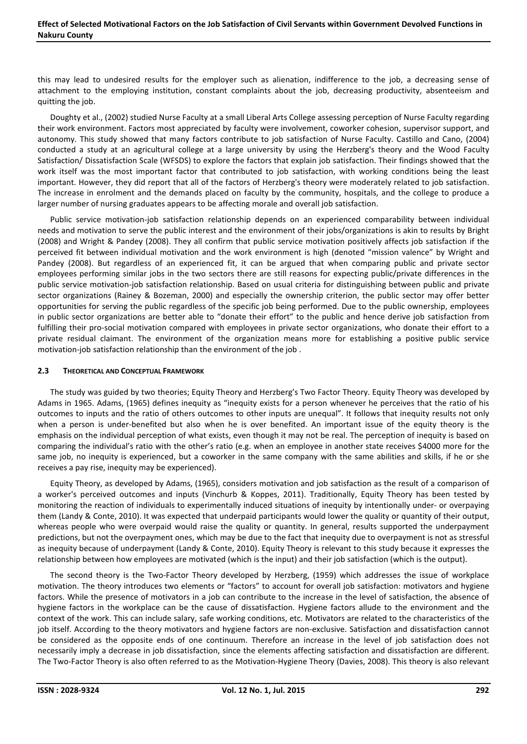this may lead to undesired results for the employer such as alienation, indifference to the job, a decreasing sense of attachment to the employing institution, constant complaints about the job, decreasing productivity, absenteeism and quitting the job.

Doughty et al., (2002) studied Nurse Faculty at a small Liberal Arts College assessing perception of Nurse Faculty regarding their work environment. Factors most appreciated by faculty were involvement, coworker cohesion, supervisor support, and autonomy. This study showed that many factors contribute to job satisfaction of Nurse Faculty. Castillo and Cano, (2004) conducted a study at an agricultural college at a large university by using the Herzberg's theory and the Wood Faculty Satisfaction/ Dissatisfaction Scale (WFSDS) to explore the factors that explain job satisfaction. Their findings showed that the work itself was the most important factor that contributed to job satisfaction, with working conditions being the least important. However, they did report that all of the factors of Herzberg's theory were moderately related to job satisfaction. The increase in enrolment and the demands placed on faculty by the community, hospitals, and the college to produce a larger number of nursing graduates appears to be affecting morale and overall job satisfaction.

Public service motivation-job satisfaction relationship depends on an experienced comparability between individual needs and motivation to serve the public interest and the environment of their jobs/organizations is akin to results by Bright (2008) and Wright & Pandey (2008). They all confirm that public service motivation positively affects job satisfaction if the perceived fit between individual motivation and the work environment is high (denoted "mission valence" by Wright and Pandey (2008). But regardless of an experienced fit, it can be argued that when comparing public and private sector employees performing similar jobs in the two sectors there are still reasons for expecting public/private differences in the public service motivation-job satisfaction relationship. Based on usual criteria for distinguishing between public and private sector organizations (Rainey & Bozeman, 2000) and especially the ownership criterion, the public sector may offer better opportunities for serving the public regardless of the specific job being performed. Due to the public ownership, employees in public sector organizations are better able to "donate their effort" to the public and hence derive job satisfaction from fulfilling their pro-social motivation compared with employees in private sector organizations, who donate their effort to a private residual claimant. The environment of the organization means more for establishing a positive public service motivation-job satisfaction relationship than the environment of the job .

#### 2.3 THEORETICAL AND CONCEPTUAL FRAMEWORK

The study was guided by two theories; Equity Theory and Herzberg's Two Factor Theory. Equity Theory was developed by Adams in 1965. Adams, (1965) defines inequity as "inequity exists for a person whenever he perceives that the ratio of his outcomes to inputs and the ratio of others outcomes to other inputs are unequal". It follows that inequity results not only when a person is under-benefited but also when he is over benefited. An important issue of the equity theory is the emphasis on the individual perception of what exists, even though it may not be real. The perception of inequity is based on comparing the individual's ratio with the other's ratio (e.g. when an employee in another state receives \$4000 more for the same job, no inequity is experienced, but a coworker in the same company with the same abilities and skills, if he or she receives a pay rise, inequity may be experienced).

Equity Theory, as developed by Adams, (1965), considers motivation and job satisfaction as the result of a comparison of a worker's perceived outcomes and inputs (Vinchurb & Koppes, 2011). Traditionally, Equity Theory has been tested by monitoring the reaction of individuals to experimentally induced situations of inequity by intentionally under- or overpaying them (Landy & Conte, 2010). It was expected that underpaid participants would lower the quality or quantity of their output, whereas people who were overpaid would raise the quality or quantity. In general, results supported the underpayment predictions, but not the overpayment ones, which may be due to the fact that inequity due to overpayment is not as stressful as inequity because of underpayment (Landy & Conte, 2010). Equity Theory is relevant to this study because it expresses the relationship between how employees are motivated (which is the input) and their job satisfaction (which is the output).

The second theory is the Two-Factor Theory developed by Herzberg, (1959) which addresses the issue of workplace motivation. The theory introduces two elements or "factors" to account for overall job satisfaction: motivators and hygiene factors. While the presence of motivators in a job can contribute to the increase in the level of satisfaction, the absence of hygiene factors in the workplace can be the cause of dissatisfaction. Hygiene factors allude to the environment and the context of the work. This can include salary, safe working conditions, etc. Motivators are related to the characteristics of the job itself. According to the theory motivators and hygiene factors are non-exclusive. Satisfaction and dissatisfaction cannot be considered as the opposite ends of one continuum. Therefore an increase in the level of job satisfaction does not necessarily imply a decrease in job dissatisfaction, since the elements affecting satisfaction and dissatisfaction are different. The Two-Factor Theory is also often referred to as the Motivation-Hygiene Theory (Davies, 2008). This theory is also relevant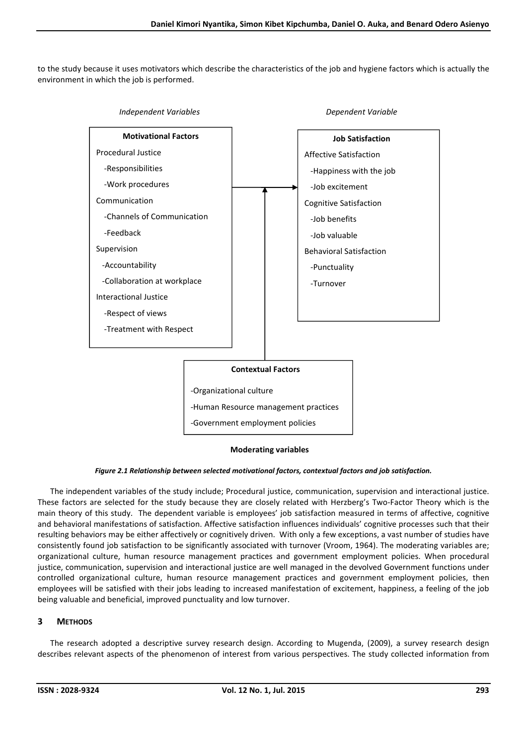to the study because it uses motivators which describe the characteristics of the job and hygiene factors which is actually the environment in which the job is performed.



#### Moderating variables

*Figure 2.1 Relationship between selected motivational factors, contextual factors and job satisfaction.*

The independent variables of the study include; Procedural justice, communication, supervision and interactional justice. These factors are selected for the study because they are closely related with Herzberg's Two-Factor Theory which is the main theory of this study. The dependent variable is employees' job satisfaction measured in terms of affective, cognitive and behavioral manifestations of satisfaction. Affective satisfaction influences individuals' cognitive processes such that their resulting behaviors may be either affectively or cognitively driven. With only a few exceptions, a vast number of studies have consistently found job satisfaction to be significantly associated with turnover (Vroom, 1964). The moderating variables are; organizational culture, human resource management practices and government employment policies. When procedural justice, communication, supervision and interactional justice are well managed in the devolved Government functions under controlled organizational culture, human resource management practices and government employment policies, then employees will be satisfied with their jobs leading to increased manifestation of excitement, happiness, a feeling of the job being valuable and beneficial, improved punctuality and low turnover.

## 3 METHODS

The research adopted a descriptive survey research design. According to Mugenda, (2009), a survey research design describes relevant aspects of the phenomenon of interest from various perspectives. The study collected information from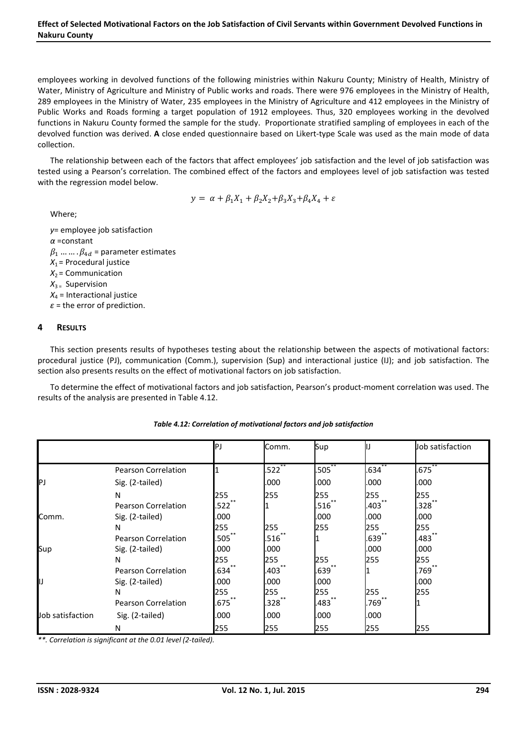#### Effect of Selected Motivational Factors on the Job Satisfaction of Civil Servants within Government Devolved Functions in Nakuru County

employees working in devolved functions of the following ministries within Nakuru County; Ministry of Health, Ministry of Water, Ministry of Agriculture and Ministry of Public works and roads. There were 976 employees in the Ministry of Health, 289 employees in the Ministry of Water, 235 employees in the Ministry of Agriculture and 412 employees in the Ministry of Public Works and Roads forming a target population of 1912 employees. Thus, 320 employees working in the devolved functions in Nakuru County formed the sample for the study. Proportionate stratified sampling of employees in each of the devolved function was derived. A close ended questionnaire based on Likert-type Scale was used as the main mode of data collection.

The relationship between each of the factors that affect employees' job satisfaction and the level of job satisfaction was tested using a Pearson's correlation. The combined effect of the factors and employees level of job satisfaction was tested with the regression model below.

$$
y = \alpha + \beta_1 X_1 + \beta_2 X_2 + \beta_3 X_3 + \beta_4 X_4 + \varepsilon
$$

Where;

*у*= employee job satisfaction *α* =constant  $\beta_1$  ... ...  $\beta_{4d}$  = parameter estimates  $X_1$  = Procedural justice  $X_2$  = Communication *X*3 = Supervision  $X_4$  = Interactional justice *ε* = the error of prediction.

### 4 RESULTS

This section presents results of hypotheses testing about the relationship between the aspects of motivational factors: procedural justice (PJ), communication (Comm.), supervision (Sup) and interactional justice (IJ); and job satisfaction. The section also presents results on the effect of motivational factors on job satisfaction.

To determine the effect of motivational factors and job satisfaction, Pearson's product-moment correlation was used. The results of the analysis are presented in Table 4.12.

|                  |                            | P.          | Comm.     | Sup         |            | Job satisfaction |
|------------------|----------------------------|-------------|-----------|-------------|------------|------------------|
|                  |                            |             |           |             |            |                  |
|                  | Pearson Correlation        |             | $.522$ ** | $.505^{**}$ | $.634$ **  | $.675$ $*$       |
| IPJ              | Sig. (2-tailed)            |             | .000      | .000        | .000       | .000             |
|                  | N                          | 255         | 255       | 255         | 255        | 255              |
|                  | <b>Pearson Correlation</b> | .522        |           | .516        | **<br>.403 | **<br>.328       |
| Comm.            | Sig. (2-tailed)            | .000        |           | .000        | .000       | .000             |
|                  | N                          | 255         | 255       | 255         | 255        | 255              |
|                  | Pearson Correlation        | $.505^{**}$ | .516      |             | .639       | .483             |
| Sup              | Sig. (2-tailed)            | .000        | .000      |             | .000       | .000             |
|                  | N                          | 255         | 255       | 255         | 255        | 255              |
|                  | Pearson Correlation        | $.634***$   | $.403$ ** | $.639^{**}$ |            | $.769$ **        |
| IIJ              | Sig. (2-tailed)            | .000        | .000      | .000        |            | .000             |
|                  | N                          | 255         | 255       | 255         | 255<br>**  | 255              |
|                  | Pearson Correlation        | .675        | .328      | .483        | .769       |                  |
| Job satisfaction | Sig. (2-tailed)            | .000        | .000      | .000        | .000       |                  |
|                  | N                          | 255         | 255       | 255         | 255        | 255              |

#### *Table 4.12: Correlation of motivational factors and job satisfaction*

*\*\*. Correlation is significant at the 0.01 level (2-tailed).*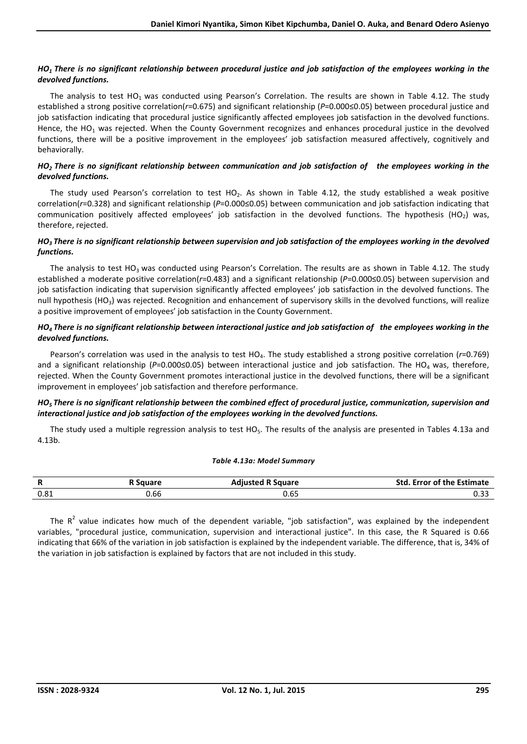## *HO1 There is no significant relationship between procedural justice and job satisfaction of the employees working in the devolved functions.*

The analysis to test  $HO_1$  was conducted using Pearson's Correlation. The results are shown in Table 4.12. The study established a strong positive correlation(*r*=0.675) and significant relationship (*P*=0.000≤0.05) between procedural justice and job satisfaction indicating that procedural justice significantly affected employees job satisfaction in the devolved functions. Hence, the HO<sub>1</sub> was rejected. When the County Government recognizes and enhances procedural justice in the devolved functions, there will be a positive improvement in the employees' job satisfaction measured affectively, cognitively and behaviorally.

## *HO2 There is no significant relationship between communication and job satisfaction of the employees working in the devolved functions.*

The study used Pearson's correlation to test HO<sub>2</sub>. As shown in Table 4.12, the study established a weak positive correlation(*r*=0.328) and significant relationship (*P*=0.000≤0.05) between communication and job satisfaction indicating that communication positively affected employees' job satisfaction in the devolved functions. The hypothesis (HO2) was, therefore, rejected.

### *HO3 There is no significant relationship between supervision and job satisfaction of the employees working in the devolved functions.*

The analysis to test HO<sub>3</sub> was conducted using Pearson's Correlation. The results are as shown in Table 4.12. The study established a moderate positive correlation(*r*=0.483) and a significant relationship (*P*=0.000≤0.05) between supervision and job satisfaction indicating that supervision significantly affected employees' job satisfaction in the devolved functions. The null hypothesis (HO<sub>3</sub>) was rejected. Recognition and enhancement of supervisory skills in the devolved functions, will realize a positive improvement of employees' job satisfaction in the County Government.

## *HO4 There is no significant relationship between interactional justice and job satisfaction of the employees working in the devolved functions.*

Pearson's correlation was used in the analysis to test HO4. The study established a strong positive correlation (*r*=0.769) and a significant relationship (P=0.000≤0.05) between interactional justice and job satisfaction. The HO<sub>4</sub> was, therefore, rejected. When the County Government promotes interactional justice in the devolved functions, there will be a significant improvement in employees' job satisfaction and therefore performance.

### *HO5 There is no significant relationship between the combined effect of procedural justice, communication, supervision and interactional justice and job satisfaction of the employees working in the devolved functions.*

The study used a multiple regression analysis to test  $HO_5$ . The results of the analysis are presented in Tables 4.13a and 4.13b.

#### *Table 4.13a: Model Summary*

| D<br>n | Sauare | <b>Adiusted R Square</b> | <b>Std. Error of the Estimate</b> |
|--------|--------|--------------------------|-----------------------------------|
| 0.81   | .bb    | נט.נ                     | u.jj                              |

The  $R^2$  value indicates how much of the dependent variable, "job satisfaction", was explained by the independent variables, "procedural justice, communication, supervision and interactional justice". In this case, the R Squared is 0.66 indicating that 66% of the variation in job satisfaction is explained by the independent variable. The difference, that is, 34% of the variation in job satisfaction is explained by factors that are not included in this study.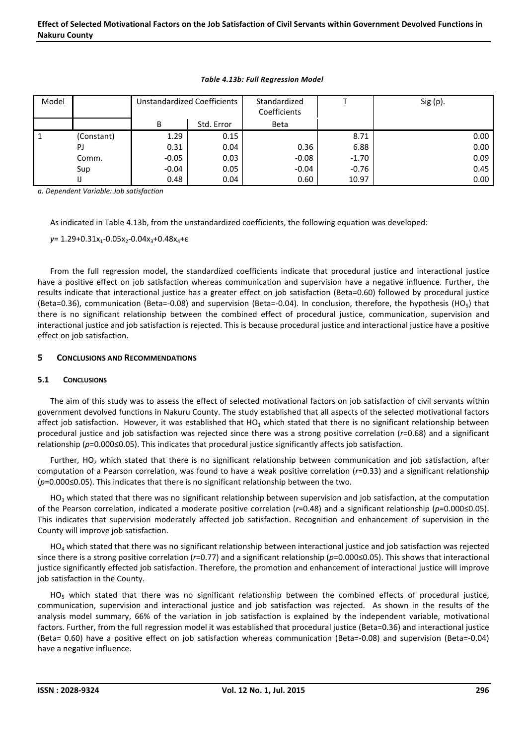| Model |            | Unstandardized Coefficients |            | Standardized<br>Coefficients |         | $Sig(p)$ . |
|-------|------------|-----------------------------|------------|------------------------------|---------|------------|
|       |            | B                           | Std. Error | <b>Beta</b>                  |         |            |
| -1    | (Constant) | 1.29                        | 0.15       |                              | 8.71    | 0.00       |
|       | PJ         | 0.31                        | 0.04       | 0.36                         | 6.88    | 0.00       |
|       | Comm.      | $-0.05$                     | 0.03       | $-0.08$                      | $-1.70$ | 0.09       |
|       | Sup        | $-0.04$                     | 0.05       | $-0.04$                      | $-0.76$ | 0.45       |
|       |            | 0.48                        | 0.04       | 0.60                         | 10.97   | 0.00       |

#### *Table 4.13b: Full Regression Model*

*a. Dependent Variable: Job satisfaction*

As indicated in Table 4.13b, from the unstandardized coefficients, the following equation was developed:

*y*= 1.29+0.31x<sub>1</sub>-0.05x<sub>2</sub>-0.04x<sub>3</sub>+0.48x<sub>4</sub>+ε

From the full regression model, the standardized coefficients indicate that procedural justice and interactional justice have a positive effect on job satisfaction whereas communication and supervision have a negative influence. Further, the results indicate that interactional justice has a greater effect on job satisfaction (Beta=0.60) followed by procedural justice (Beta=0.36), communication (Beta=-0.08) and supervision (Beta=-0.04). In conclusion, therefore, the hypothesis (HO<sub>5</sub>) that there is no significant relationship between the combined effect of procedural justice, communication, supervision and interactional justice and job satisfaction is rejected. This is because procedural justice and interactional justice have a positive effect on job satisfaction.

### 5 CONCLUSIONS AND RECOMMENDATIONS

#### 5.1 CONCLUSIONS

The aim of this study was to assess the effect of selected motivational factors on job satisfaction of civil servants within government devolved functions in Nakuru County. The study established that all aspects of the selected motivational factors affect job satisfaction. However, it was established that HO<sub>1</sub> which stated that there is no significant relationship between procedural justice and job satisfaction was rejected since there was a strong positive correlation (*r*=0.68) and a significant relationship (*p*=0.000≤0.05). This indicates that procedural justice significantly affects job satisfaction.

Further, HO<sub>2</sub> which stated that there is no significant relationship between communication and job satisfaction, after computation of a Pearson correlation, was found to have a weak positive correlation (*r*=0.33) and a significant relationship (*p*=0.000≤0.05). This indicates that there is no significant relationship between the two.

 $HO<sub>3</sub>$  which stated that there was no significant relationship between supervision and job satisfaction, at the computation of the Pearson correlation, indicated a moderate positive correlation (*r*=0.48) and a significant relationship (*p*=0.000≤0.05). This indicates that supervision moderately affected job satisfaction. Recognition and enhancement of supervision in the County will improve job satisfaction.

 $HO<sub>4</sub>$  which stated that there was no significant relationship between interactional justice and job satisfaction was rejected since there is a strong positive correlation (*r*=0.77) and a significant relationship (*p*=0.000≤0.05). This shows that interactional justice significantly effected job satisfaction. Therefore, the promotion and enhancement of interactional justice will improve job satisfaction in the County.

HO<sub>5</sub> which stated that there was no significant relationship between the combined effects of procedural justice, communication, supervision and interactional justice and job satisfaction was rejected. As shown in the results of the analysis model summary, 66% of the variation in job satisfaction is explained by the independent variable, motivational factors. Further, from the full regression model it was established that procedural justice (Beta=0.36) and interactional justice (Beta= 0.60) have a positive effect on job satisfaction whereas communication (Beta=-0.08) and supervision (Beta=-0.04) have a negative influence.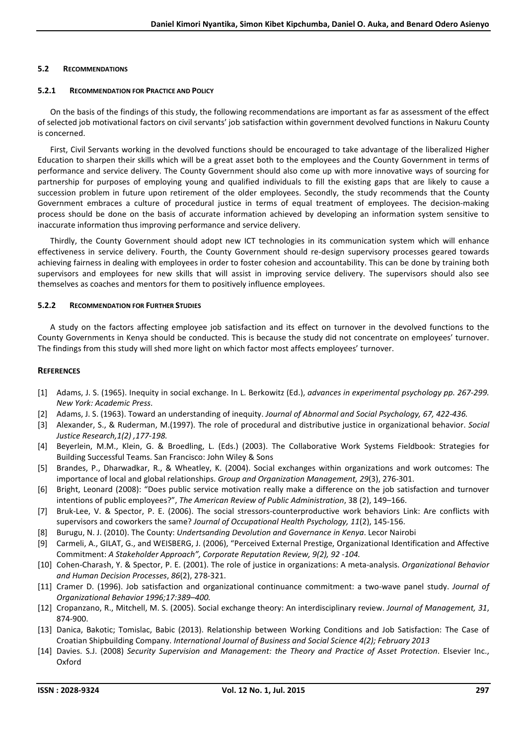### 5.2 RECOMMENDATIONS

### 5.2.1 RECOMMENDATION FOR PRACTICE AND POLICY

On the basis of the findings of this study, the following recommendations are important as far as assessment of the effect of selected job motivational factors on civil servants' job satisfaction within government devolved functions in Nakuru County is concerned.

First, Civil Servants working in the devolved functions should be encouraged to take advantage of the liberalized Higher Education to sharpen their skills which will be a great asset both to the employees and the County Government in terms of performance and service delivery. The County Government should also come up with more innovative ways of sourcing for partnership for purposes of employing young and qualified individuals to fill the existing gaps that are likely to cause a succession problem in future upon retirement of the older employees. Secondly, the study recommends that the County Government embraces a culture of procedural justice in terms of equal treatment of employees. The decision-making process should be done on the basis of accurate information achieved by developing an information system sensitive to inaccurate information thus improving performance and service delivery.

Thirdly, the County Government should adopt new ICT technologies in its communication system which will enhance effectiveness in service delivery. Fourth, the County Government should re-design supervisory processes geared towards achieving fairness in dealing with employees in order to foster cohesion and accountability. This can be done by training both supervisors and employees for new skills that will assist in improving service delivery. The supervisors should also see themselves as coaches and mentors for them to positively influence employees.

### 5.2.2 RECOMMENDATION FOR FURTHER STUDIES

A study on the factors affecting employee job satisfaction and its effect on turnover in the devolved functions to the County Governments in Kenya should be conducted. This is because the study did not concentrate on employees' turnover. The findings from this study will shed more light on which factor most affects employees' turnover.

### **REFERENCES**

- [1] Adams, J. S. (1965). Inequity in social exchange. In L. Berkowitz (Ed.), *advances in experimental psychology pp. 267-299. New York: Academic Press*.
- [2] Adams, J. S. (1963). Toward an understanding of inequity. *Journal of Abnormal and Social Psychology, 67, 422-436.*
- [3] Alexander, S., & Ruderman, M.(1997). The role of procedural and distributive justice in organizational behavior. *Social Justice Research,1(2) ,177-198.*
- [4] Beyerlein, M.M., Klein, G. & Broedling, L. (Eds.) (2003). The Collaborative Work Systems Fieldbook: Strategies for Building Successful Teams. San Francisco: John Wiley & Sons
- [5] Brandes, P., Dharwadkar, R., & Wheatley, K. (2004). Social exchanges within organizations and work outcomes: The importance of local and global relationships. *Group and Organization Management, 29*(3), 276-301.
- [6] Bright, Leonard (2008): "Does public service motivation really make a difference on the job satisfaction and turnover intentions of public employees?", *The American Review of Public Administration*, 38 (2), 149–166.
- [7] Bruk-Lee, V. & Spector, P. E. (2006). The social stressors-counterproductive work behaviors Link: Are conflicts with supervisors and coworkers the same? *Journal of Occupational Health Psychology, 11*(2), 145-156.
- [8] Burugu, N. J. (2010). The County: *Undertsanding Devolution and Governance in Kenya*. Lecor Nairobi
- [9] Carmeli, A., GILAT, G., and WEISBERG, J. (2006), "Perceived External Prestige, Organizational Identification and Affective Commitment: *A Stakeholder Approach", Corporate Reputation Review, 9(2), 92 -104.*
- [10] Cohen-Charash, Y. & Spector, P. E. (2001). The role of justice in organizations: A meta-analysis. *Organizational Behavior and Human Decision Processes*, *86*(2), 278-321.
- [11] Cramer D. (1996). Job satisfaction and organizational continuance commitment: a two-wave panel study. *Journal of Organizational Behavior 1996;17:389–400.*
- [12] Cropanzano, R., Mitchell, M. S. (2005). Social exchange theory: An interdisciplinary review. *Journal of Management, 31*, 874-900.
- [13] Danica, Bakotic; Tomislac, Babic (2013). Relationship between Working Conditions and Job Satisfaction: The Case of Croatian Shipbuilding Company. *International Journal of Business and Social Science 4(2); February 2013*
- [14] Davies. S.J. (2008) *Security Supervision and Management: the Theory and Practice of Asset Protection*. Elsevier Inc., Oxford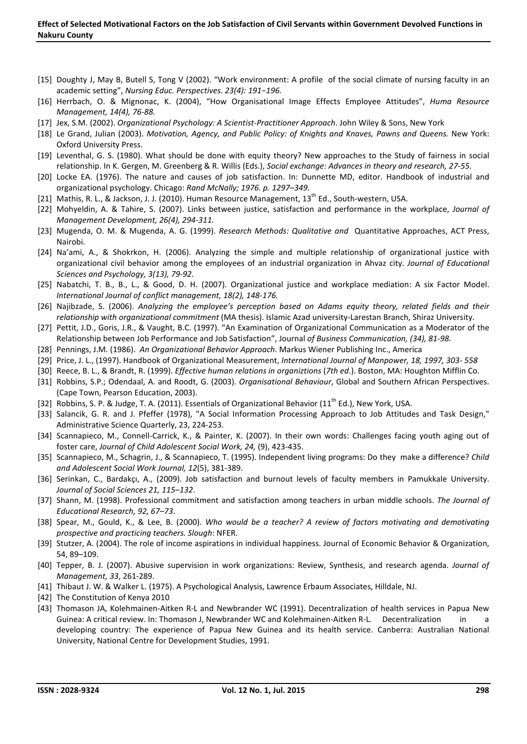- [15] Doughty J, May B, Butell S, Tong V (2002). "Work environment: A profile of the social climate of nursing faculty in an academic setting", *Nursing Educ. Perspectives. 23(4): 191−196.*
- [16] Herrbach, O. & Mignonac, K. (2004), "How Organisational Image Effects Employee Attitudes", *Huma Resource Management, 14(4), 76-88.*
- [17] Jex, S.M. (2002). *Organizational Psychology: A Scientist-Practitioner Approach*. John Wiley & Sons, New York
- [18] Le Grand, Julian (2003). *Motivation, Agency, and Public Policy: of Knights and Knaves, Pawns and Queens.* New York: Oxford University Press.
- [19] Leventhal, G. S. (1980). What should be done with equity theory? New approaches to the Study of fairness in social relationship. In K. Gergen, M. Greenberg & R. Willis (Eds.), *Social exchange: Advances in theory and research, 27-55.*
- [20] Locke EA. (1976). The nature and causes of job satisfaction. In: Dunnette MD, editor. Handbook of industrial and organizational psychology. Chicago: *Rand McNally; 1976. p. 1297–349.*
- [21] Mathis, R. L., & Jackson, J. J. (2010). Human Resource Management, 13<sup>th</sup> Ed., South-western, USA.
- [22] Mohyeldin, A. & Tahire, S. (2007). Links between justice, satisfaction and performance in the workplace, *Journal of Management Development, 26(4), 294-311.*
- [23] Mugenda, O. M. & Mugenda, A. G. (1999). *Research Methods: Qualitative and* Quantitative Approaches, ACT Press, Nairobi.
- [24] Na'ami, A., & Shokrkon, H. (2006). Analyzing the simple and multiple relationship of organizational justice with organizational civil behavior among the employees of an industrial organization in Ahvaz city. *Journal of Educational Sciences and Psychology, 3(13), 79-92.*
- [25] Nabatchi, T. B., B., L., & Good, D. H. (2007). Organizational justice and workplace mediation: A six Factor Model. *International Journal of conflict management, 18(2), 148-176.*
- [26] Najibzade, S. (2006). *Analyzing the employee's perception based on Adams equity theory, related fields and their relationship with organizational commitment* (MA thesis). Islamic Azad university-Larestan Branch, Shiraz University.
- [27] Pettit, J.D., Goris, J.R., & Vaught, B.C. (1997). "An Examination of Organizational Communication as a Moderator of the Relationship between Job Performance and Job Satisfaction", Journal *of Business Communication, (34), 81-98.*
- [28] Pennings, J.M. (1986). *An Organizational Behavior Approach*. Markus Wiener Publishing Inc., America
- [29] Price, J. L., (1997). Handbook of Organizational Measurement, *International Journal of Manpower, 18, 1997, 303- 558*
- [30] Reece, B. L., & Brandt, R. (1999). *Effective human relations in organiztions* (*7th ed*.). Boston, MA: Houghton Mifflin Co.
- [31] Robbins, S.P.; Odendaal, A. and Roodt, G. (2003). *Organisational Behaviour*, Global and Southern African Perspectives. (Cape Town, Pearson Education, 2003).
- [32] Robbins, S. P. & Judge, T. A. (2011). Essentials of Organizational Behavior (11<sup>th</sup> Ed.), New York, USA.
- [33] Salancik, G. R. and J. Pfeffer (1978), "A Social Information Processing Approach to Job Attitudes and Task Design," Administrative Science Quarterly, 23, 224-253.
- [34] Scannapieco, M., Connell-Carrick, K., & Painter, K. (2007). In their own words: Challenges facing youth aging out of foster care, *Journal of Child Adolescent Social Work, 24,* (9), 423-435.
- [35] Scannapieco, M., Schagrin, J., & Scannapieco, T. (1995). Independent living programs: Do they make a difference? *Child and Adolescent Social Work Journal, 12*(5), 381-389.
- [36] Serinkan, C., Bardakçı, A., (2009). Job satisfaction and burnout levels of faculty members in Pamukkale University. *Journal of Social Sciences 21, 115–132*.
- [37] Shann, M. (1998). Professional commitment and satisfaction among teachers in urban middle schools. *The Journal of Educational Research, 92, 67–73*.
- [38] Spear, M., Gould, K., & Lee, B. (2000). *Who would be a teacher? A review of factors motivating and demotivating prospective and practicing teachers. Slough*: NFER.
- [39] Stutzer, A. (2004). The role of income aspirations in individual happiness. Journal of Economic Behavior & Organization, 54, 89–109.
- [40] Tepper, B. J. (2007). Abusive supervision in work organizations: Review, Synthesis, and research agenda. *Journal of Management, 33*, 261-289.
- [41] Thibaut J. W. & Walker L. (1975). A Psychological Analysis, Lawrence Erbaum Associates, Hilldale, NJ.
- [42] The Constitution of Kenya 2010
- [43] Thomason JA, Kolehmainen-Aitken R-L and Newbrander WC (1991). Decentralization of health services in Papua New Guinea: A critical review. In: Thomason J, Newbrander WC and Kolehmainen-Aitken R-L. Decentralization in a developing country: The experience of Papua New Guinea and its health service. Canberra: Australian National University, National Centre for Development Studies, 1991.